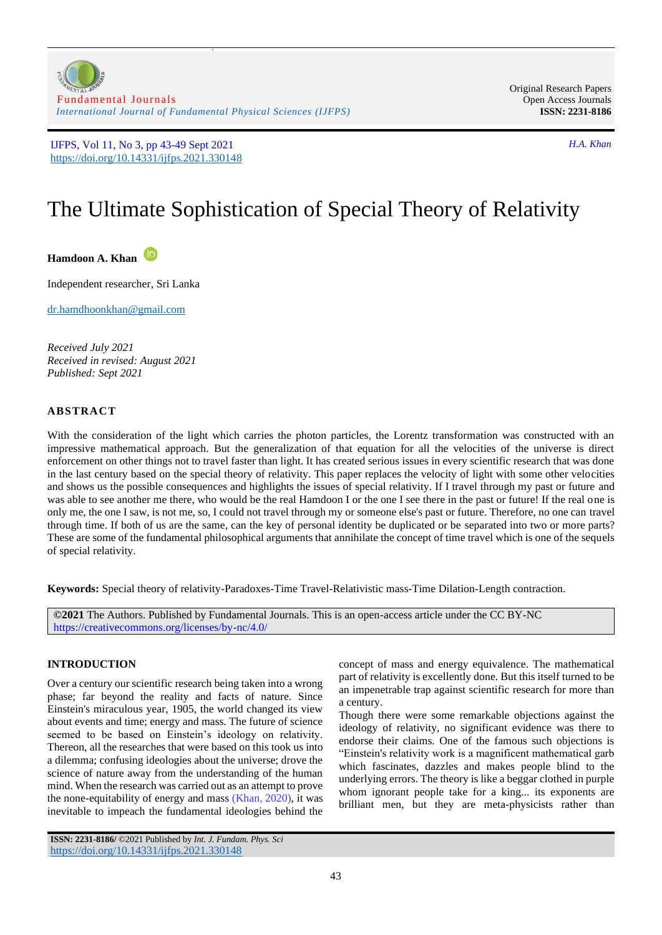

z

Original Research Papers Open Access Journals **ISSN: 2231-8186**

# The Ultimate Sophistication of Special Theory of Relativity

**Hamdoon A. Khan**

Independent researcher, Sri Lanka

[dr.hamdhoonkhan@gmail.com](mailto:dr.hamdhoonkhan@gmail.com)

*Received July 2021 Received in revised: August 2021 Published: Sept 2021*

## **ABSTRACT**

With the consideration of the light which carries the photon particles, the Lorentz transformation was constructed with an impressive mathematical approach. But the generalization of that equation for all the velocities of the universe is direct enforcement on other things not to travel faster than light. It has created serious issues in every scientific research that was done in the last century based on the special theory of relativity. This paper replaces the velocity of light with some other velocities and shows us the possible consequences and highlights the issues of special relativity. If I travel through my past or future and was able to see another me there, who would be the real Hamdoon I or the one I see there in the past or future! If the real one is only me, the one I saw, is not me, so, I could not travel through my or someone else's past or future. Therefore, no one can travel through time. If both of us are the same, can the key of personal identity be duplicated or be separated into two or more parts? These are some of the fundamental philosophical arguments that annihilate the concept of time travel which is one of the sequels of special relativity.

**Keywords:** Special theory of relativity-Paradoxes-Time Travel-Relativistic mass-Time Dilation-Length contraction.

**©2021** The Authors. Published by Fundamental Journals. This is an open-access article under the CC BY-NC <https://creativecommons.org/licenses/by-nc/4.0/>

# **INTRODUCTION**

Over a century our scientific research being taken into a wrong phase; far beyond the reality and facts of nature. Since Einstein's miraculous year, 1905, the world changed its view about events and time; energy and mass. The future of science seemed to be based on Einstein's ideology on relativity. Thereon, all the researches that were based on this took us into a dilemma; confusing ideologies about the universe; drove the science of nature away from the understanding of the human mind. When the research was carried out as an attempt to prove the none-equitability of energy and mass [\(Khan, 2020\)](#page-6-0), it was inevitable to impeach the fundamental ideologies behind the

concept of mass and energy equivalence. The mathematical part of relativity is excellently done. But this itself turned to be an impenetrable trap against scientific research for more than a century.

Though there were some remarkable objections against the ideology of relativity, no significant evidence was there to endorse their claims. One of the famous such objections is "Einstein's relativity work is a magnificent mathematical garb which fascinates, dazzles and makes people blind to the underlying errors. The theory is like a beggar clothed in purple whom ignorant people take for a king... its exponents are brilliant men, but they are meta-physicists rather than

**ISSN: 2231-8186/** ©2021 Published by *Int. J. Fundam. Phys. Sci* <https://doi.org/10.14331/ijfps.2021.330148>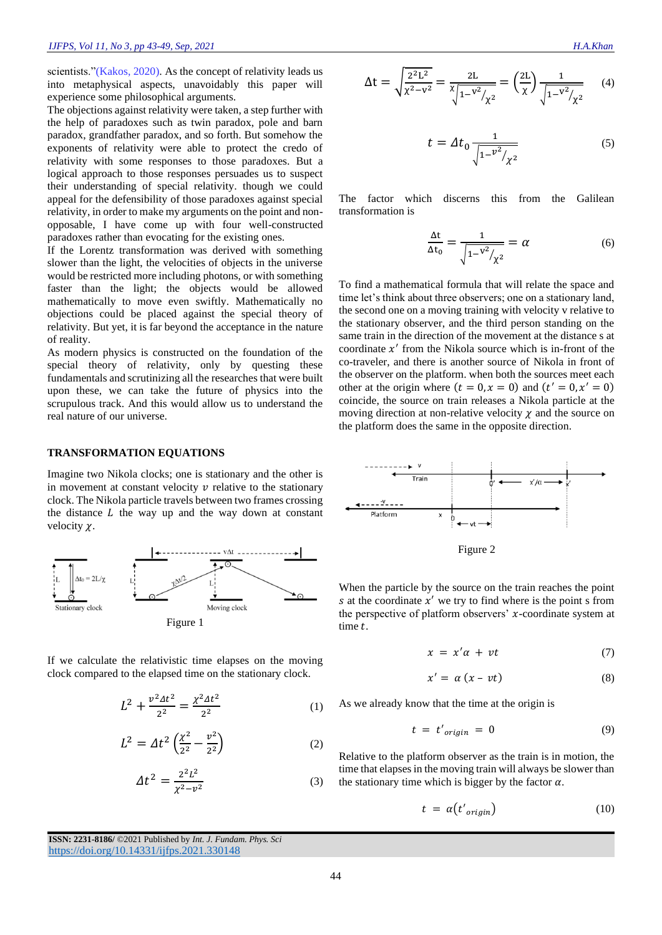scientists."[\(Kakos, 2020\)](#page-6-1). As the concept of relativity leads us into metaphysical aspects, unavoidably this paper will experience some philosophical arguments.

The objections against relativity were taken, a step further with the help of paradoxes such as twin paradox, pole and barn paradox, grandfather paradox, and so forth. But somehow the exponents of relativity were able to protect the credo of relativity with some responses to those paradoxes. But a logical approach to those responses persuades us to suspect their understanding of special relativity. though we could appeal for the defensibility of those paradoxes against special relativity, in order to make my arguments on the point and nonopposable, I have come up with four well-constructed paradoxes rather than evocating for the existing ones.

If the Lorentz transformation was derived with something slower than the light, the velocities of objects in the universe would be restricted more including photons, or with something faster than the light; the objects would be allowed mathematically to move even swiftly. Mathematically no objections could be placed against the special theory of relativity. But yet, it is far beyond the acceptance in the nature of reality.

As modern physics is constructed on the foundation of the special theory of relativity, only by questing these fundamentals and scrutinizing all the researches that were built upon these, we can take the future of physics into the scrupulous track. And this would allow us to understand the real nature of our universe.

#### **TRANSFORMATION EQUATIONS**

Imagine two Nikola clocks; one is stationary and the other is in movement at constant velocity  $\nu$  relative to the stationary clock. The Nikola particle travels between two frames crossing the distance  *the way up and the way down at constant* velocity  $\chi$ .



If we calculate the relativistic time elapses on the moving clock compared to the elapsed time on the stationary clock.

$$
L^2 + \frac{v^2 \Delta t^2}{2^2} = \frac{\chi^2 \Delta t^2}{2^2} \tag{1}
$$

$$
L^2 = \Delta t^2 \left(\frac{\chi^2}{2^2} - \frac{v^2}{2^2}\right) \tag{2}
$$

$$
\Delta t^2 = \frac{2^2 L^2}{\chi^2 - v^2} \tag{3}
$$

 $\Delta t = \sqrt{\frac{2^2 L^2}{v^2 - v}}$  $\frac{2^2L^2}{\chi^2 - v^2} = \frac{2L}{\chi \sqrt{1-v^2}}$  $\binom{8}{1}$ 1– $\frac{v^2}{2}$  $/$ <sub>χ<sup>2</sup></sub>  $\frac{2L}{\chi \sqrt{2V^2+1}} = \left(\frac{2L}{\gamma}\right)$  $\frac{2L}{\chi}$  $\frac{1}{\sqrt{1-\nu}}$  $\sqrt{1-v^2}$  $\sqrt{\chi^2}$ (4)

$$
t = \Delta t_0 \frac{1}{\sqrt{1 - v^2 / \chi^2}}
$$
 (5)

The factor which discerns this from the Galilean transformation is

$$
\frac{\Delta t}{\Delta t_0} = \frac{1}{\sqrt{1 - {v^2}/\chi^2}} = \alpha \tag{6}
$$

To find a mathematical formula that will relate the space and time let's think about three observers; one on a stationary land, the second one on a moving training with velocity v relative to the stationary observer, and the third person standing on the same train in the direction of the movement at the distance s at coordinate  $x'$  from the Nikola source which is in-front of the co-traveler, and there is another source of Nikola in front of the observer on the platform. when both the sources meet each other at the origin where  $(t = 0, x = 0)$  and  $(t' = 0, x' = 0)$ coincide, the source on train releases a Nikola particle at the moving direction at non-relative velocity  $\chi$  and the source on the platform does the same in the opposite direction.



Figure 2

When the particle by the source on the train reaches the point s at the coordinate  $x'$  we try to find where is the point s from the perspective of platform observers'  $x$ -coordinate system at time t.

$$
x = x'\alpha + vt \tag{7}
$$

$$
x' = \alpha (x - vt) \tag{8}
$$

As we already know that the time at the origin is

$$
t = t'_{origin} = 0 \tag{9}
$$

Relative to the platform observer as the train is in motion, the time that elapses in the moving train will always be slower than the stationary time which is bigger by the factor  $\alpha$ .

$$
t = \alpha \left( t'_{origin} \right) \tag{10}
$$

**ISSN: 2231-8186/** ©2021 Published by *Int. J. Fundam. Phys. Sci* <https://doi.org/10.14331/ijfps.2021.330148>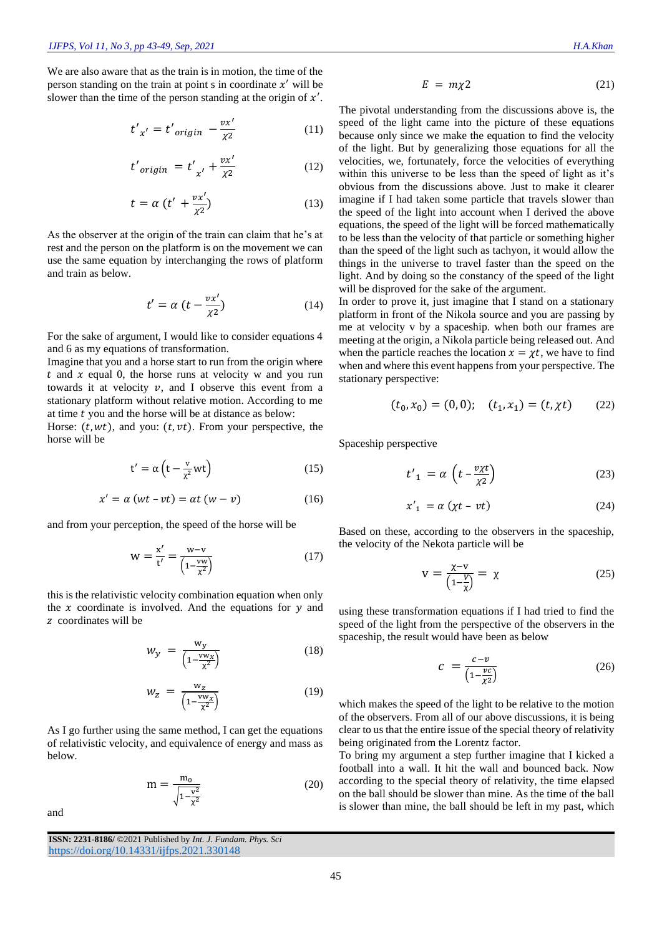We are also aware that as the train is in motion, the time of the person standing on the train at point  $s$  in coordinate  $x'$  will be slower than the time of the person standing at the origin of  $x'$ .

$$
t'_{x'} = t'_{origin} - \frac{vx'}{\chi^2}
$$
 (11)

$$
t'_{origin} = t'_{x'} + \frac{vx'}{\chi^2}
$$
 (12)

$$
t = \alpha \left( t' + \frac{vx'}{\chi^2} \right) \tag{13}
$$

As the observer at the origin of the train can claim that he's at rest and the person on the platform is on the movement we can use the same equation by interchanging the rows of platform and train as below.

$$
t' = \alpha \left( t - \frac{vx'}{\chi^2} \right) \tag{14}
$$

For the sake of argument, I would like to consider equations 4 and 6 as my equations of transformation.

Imagine that you and a horse start to run from the origin where  $t$  and  $x$  equal 0, the horse runs at velocity w and you run towards it at velocity  $v$ , and I observe this event from a stationary platform without relative motion. According to me at time  $t$  you and the horse will be at distance as below:

Horse:  $(t, wt)$ , and you:  $(t, vt)$ . From your perspective, the horse will be

$$
t' = \alpha \left( t - \frac{v}{\chi^2} wt \right) \tag{15}
$$

$$
x' = \alpha (wt - vt) = \alpha t (w - v) \tag{16}
$$

and from your perception, the speed of the horse will be

$$
w = \frac{x'}{t'} = \frac{w - v}{\left(1 - \frac{vw}{x^2}\right)}
$$
(17)

this is the relativistic velocity combination equation when only the  $x$  coordinate is involved. And the equations for  $y$  and z coordinates will be

$$
w_y = \frac{w_y}{\left(1 - \frac{vw_x}{\chi^2}\right)}\tag{18}
$$

$$
w_z = \frac{w_z}{\left(1 - \frac{vw_x}{\chi^2}\right)}\tag{19}
$$

As I go further using the same method, I can get the equations of relativistic velocity, and equivalence of energy and mass as below.

$$
m = \frac{m_0}{\sqrt{1 - \frac{v^2}{\chi^2}}} \tag{20}
$$

and

$$
E = m\chi 2 \tag{21}
$$

The pivotal understanding from the discussions above is, the speed of the light came into the picture of these equations because only since we make the equation to find the velocity of the light. But by generalizing those equations for all the velocities, we, fortunately, force the velocities of everything within this universe to be less than the speed of light as it's obvious from the discussions above. Just to make it clearer imagine if I had taken some particle that travels slower than the speed of the light into account when I derived the above equations, the speed of the light will be forced mathematically to be less than the velocity of that particle or something higher than the speed of the light such as tachyon, it would allow the things in the universe to travel faster than the speed on the light. And by doing so the constancy of the speed of the light will be disproved for the sake of the argument.

In order to prove it, just imagine that I stand on a stationary platform in front of the Nikola source and you are passing by me at velocity v by a spaceship. when both our frames are meeting at the origin, a Nikola particle being released out. And when the particle reaches the location  $x = \chi t$ , we have to find when and where this event happens from your perspective. The stationary perspective:

$$
(t_0, x_0) = (0, 0); \quad (t_1, x_1) = (t, \chi t) \tag{22}
$$

Spaceship perspective

$$
t'_{1} = \alpha \left( t - \frac{v \chi t}{\chi^2} \right) \tag{23}
$$

$$
x'_{1} = \alpha \left( \chi t - vt \right) \tag{24}
$$

Based on these, according to the observers in the spaceship, the velocity of the Nekota particle will be

$$
v = \frac{\chi - v}{\left(1 - \frac{V}{\chi}\right)} = \chi\tag{25}
$$

using these transformation equations if I had tried to find the speed of the light from the perspective of the observers in the spaceship, the result would have been as below

$$
c = \frac{c - v}{\left(1 - \frac{vc}{\chi^2}\right)}\tag{26}
$$

which makes the speed of the light to be relative to the motion of the observers. From all of our above discussions, it is being clear to us that the entire issue of the special theory of relativity being originated from the Lorentz factor.

To bring my argument a step further imagine that I kicked a football into a wall. It hit the wall and bounced back. Now according to the special theory of relativity, the time elapsed on the ball should be slower than mine. As the time of the ball is slower than mine, the ball should be left in my past, which

**ISSN: 2231-8186/** ©2021 Published by *Int. J. Fundam. Phys. Sci* <https://doi.org/10.14331/ijfps.2021.330148>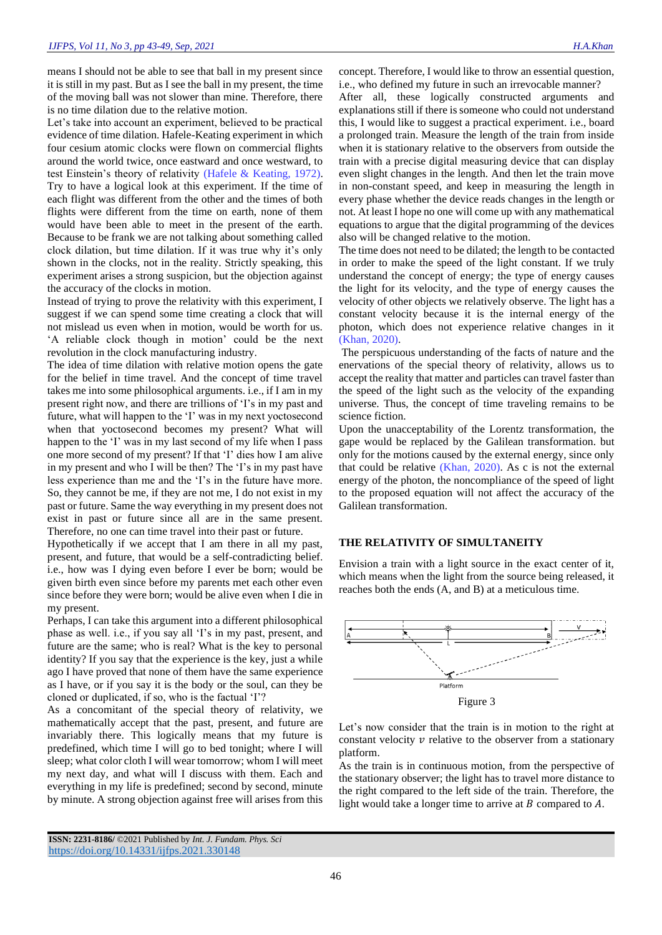means I should not be able to see that ball in my present since it is still in my past. But as I see the ball in my present, the time of the moving ball was not slower than mine. Therefore, there is no time dilation due to the relative motion.

Let's take into account an experiment, believed to be practical evidence of time dilation. Hafele-Keating experiment in which four cesium atomic clocks were flown on commercial flights around the world twice, once eastward and once westward, to test Einstein's theory of relativity [\(Hafele & Keating, 1972\)](#page-6-2). Try to have a logical look at this experiment. If the time of each flight was different from the other and the times of both flights were different from the time on earth, none of them would have been able to meet in the present of the earth. Because to be frank we are not talking about something called clock dilation, but time dilation. If it was true why it's only shown in the clocks, not in the reality. Strictly speaking, this experiment arises a strong suspicion, but the objection against the accuracy of the clocks in motion.

Instead of trying to prove the relativity with this experiment, I suggest if we can spend some time creating a clock that will not mislead us even when in motion, would be worth for us. 'A reliable clock though in motion' could be the next revolution in the clock manufacturing industry.

The idea of time dilation with relative motion opens the gate for the belief in time travel. And the concept of time travel takes me into some philosophical arguments. i.e., if I am in my present right now, and there are trillions of 'I's in my past and future, what will happen to the 'I' was in my next yoctosecond when that yoctosecond becomes my present? What will happen to the 'I' was in my last second of my life when I pass one more second of my present? If that 'I' dies how I am alive in my present and who I will be then? The 'I's in my past have less experience than me and the 'I's in the future have more. So, they cannot be me, if they are not me, I do not exist in my past or future. Same the way everything in my present does not exist in past or future since all are in the same present. Therefore, no one can time travel into their past or future.

Hypothetically if we accept that I am there in all my past, present, and future, that would be a self-contradicting belief. i.e., how was I dying even before I ever be born; would be given birth even since before my parents met each other even since before they were born; would be alive even when I die in my present.

Perhaps, I can take this argument into a different philosophical phase as well. i.e., if you say all 'I's in my past, present, and future are the same; who is real? What is the key to personal identity? If you say that the experience is the key, just a while ago I have proved that none of them have the same experience as I have, or if you say it is the body or the soul, can they be cloned or duplicated, if so, who is the factual 'I'?

As a concomitant of the special theory of relativity, we mathematically accept that the past, present, and future are invariably there. This logically means that my future is predefined, which time I will go to bed tonight; where I will sleep; what color cloth I will wear tomorrow; whom I will meet my next day, and what will I discuss with them. Each and everything in my life is predefined; second by second, minute by minute. A strong objection against free will arises from this

concept. Therefore, I would like to throw an essential question, i.e., who defined my future in such an irrevocable manner?

After all, these logically constructed arguments and explanations still if there is someone who could not understand this, I would like to suggest a practical experiment. i.e., board a prolonged train. Measure the length of the train from inside when it is stationary relative to the observers from outside the train with a precise digital measuring device that can display even slight changes in the length. And then let the train move in non-constant speed, and keep in measuring the length in every phase whether the device reads changes in the length or not. At least I hope no one will come up with any mathematical equations to argue that the digital programming of the devices also will be changed relative to the motion.

The time does not need to be dilated; the length to be contacted in order to make the speed of the light constant. If we truly understand the concept of energy; the type of energy causes the light for its velocity, and the type of energy causes the velocity of other objects we relatively observe. The light has a constant velocity because it is the internal energy of the photon, which does not experience relative changes in it [\(Khan, 2020\)](#page-6-0).

The perspicuous understanding of the facts of nature and the enervations of the special theory of relativity, allows us to accept the reality that matter and particles can travel faster than the speed of the light such as the velocity of the expanding universe. Thus, the concept of time traveling remains to be science fiction.

Upon the unacceptability of the Lorentz transformation, the gape would be replaced by the Galilean transformation. but only for the motions caused by the external energy, since only that could be relative [\(Khan, 2020\)](#page-6-0). As c is not the external energy of the photon, the noncompliance of the speed of light to the proposed equation will not affect the accuracy of the Galilean transformation.

# **THE RELATIVITY OF SIMULTANEITY**

Envision a train with a light source in the exact center of it, which means when the light from the source being released, it reaches both the ends (A, and B) at a meticulous time.



Let's now consider that the train is in motion to the right at constant velocity  $\nu$  relative to the observer from a stationary platform.

As the train is in continuous motion, from the perspective of the stationary observer; the light has to travel more distance to the right compared to the left side of the train. Therefore, the light would take a longer time to arrive at  $B$  compared to  $A$ .

**ISSN: 2231-8186/** ©2021 Published by *Int. J. Fundam. Phys. Sci* <https://doi.org/10.14331/ijfps.2021.330148>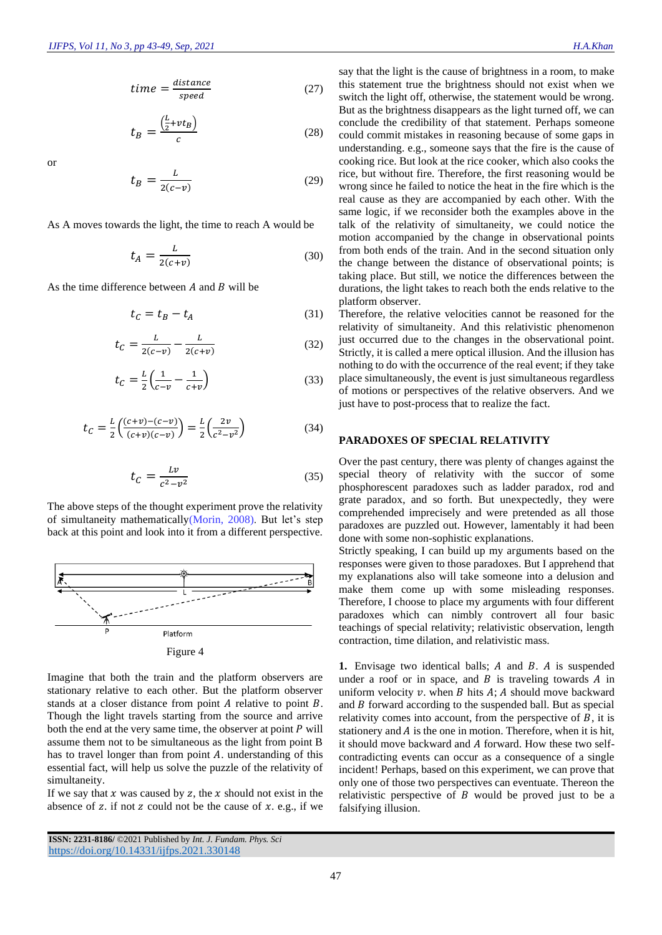$$
time = \frac{distance}{speed} \tag{27}
$$

$$
t_B = \frac{\left(\frac{L}{2} + vt_B\right)}{c} \tag{28}
$$

or

$$
t_B = \frac{L}{2(c-v)}\tag{29}
$$

As A moves towards the light, the time to reach A would be

$$
t_A = \frac{L}{2(c+v)}\tag{30}
$$

As the time difference between  $A$  and  $B$  will be

$$
t_C = t_B - t_A \tag{31}
$$

$$
t_C = \frac{L}{2(c-v)} - \frac{L}{2(c+v)}
$$
 (32)

$$
t_C = \frac{L}{2} \left( \frac{1}{c - v} - \frac{1}{c + v} \right) \tag{33}
$$

$$
t_C = \frac{L}{2} \left( \frac{(c+v) - (c-v)}{(c+v)(c-v)} \right) = \frac{L}{2} \left( \frac{2v}{c^2 - v^2} \right)
$$
(34)

$$
t_C = \frac{Lv}{c^2 - v^2} \tag{35}
$$

The above steps of the thought experiment prove the relativity of simultaneity mathematically[\(Morin, 2008\)](#page-6-3). But let's step back at this point and look into it from a different perspective.



Figure 4

Imagine that both the train and the platform observers are stationary relative to each other. But the platform observer stands at a closer distance from point  $A$  relative to point  $B$ . Though the light travels starting from the source and arrive both the end at the very same time, the observer at point  $P$  will assume them not to be simultaneous as the light from point B has to travel longer than from point  $A$ . understanding of this essential fact, will help us solve the puzzle of the relativity of simultaneity.

If we say that  $x$  was caused by  $z$ , the  $x$  should not exist in the absence of z. if not z could not be the cause of  $x$ . e.g., if we

**ISSN: 2231-8186/** ©2021 Published by *Int. J. Fundam. Phys. Sci* <https://doi.org/10.14331/ijfps.2021.330148>

say that the light is the cause of brightness in a room, to make this statement true the brightness should not exist when we switch the light off, otherwise, the statement would be wrong. But as the brightness disappears as the light turned off, we can conclude the credibility of that statement. Perhaps someone could commit mistakes in reasoning because of some gaps in understanding. e.g., someone says that the fire is the cause of cooking rice. But look at the rice cooker, which also cooks the rice, but without fire. Therefore, the first reasoning would be wrong since he failed to notice the heat in the fire which is the real cause as they are accompanied by each other. With the same logic, if we reconsider both the examples above in the talk of the relativity of simultaneity, we could notice the motion accompanied by the change in observational points from both ends of the train. And in the second situation only the change between the distance of observational points; is taking place. But still, we notice the differences between the durations, the light takes to reach both the ends relative to the platform observer.

Therefore, the relative velocities cannot be reasoned for the relativity of simultaneity. And this relativistic phenomenon just occurred due to the changes in the observational point. Strictly, it is called a mere optical illusion. And the illusion has nothing to do with the occurrence of the real event; if they take place simultaneously, the event is just simultaneous regardless of motions or perspectives of the relative observers. And we just have to post-process that to realize the fact.

### **PARADOXES OF SPECIAL RELATIVITY**

Over the past century, there was plenty of changes against the special theory of relativity with the succor of some phosphorescent paradoxes such as ladder paradox, rod and grate paradox, and so forth. But unexpectedly, they were comprehended imprecisely and were pretended as all those paradoxes are puzzled out. However, lamentably it had been done with some non-sophistic explanations.

Strictly speaking, I can build up my arguments based on the responses were given to those paradoxes. But I apprehend that my explanations also will take someone into a delusion and make them come up with some misleading responses. Therefore, I choose to place my arguments with four different paradoxes which can nimbly controvert all four basic teachings of special relativity; relativistic observation, length contraction, time dilation, and relativistic mass.

**1.** Envisage two identical balls; A and B. A is suspended under a roof or in space, and  $B$  is traveling towards  $A$  in uniform velocity  $v$ . when  $B$  hits  $A$ ;  $A$  should move backward and  $B$  forward according to the suspended ball. But as special relativity comes into account, from the perspective of  $B$ , it is stationery and  $A$  is the one in motion. Therefore, when it is hit, it should move backward and A forward. How these two selfcontradicting events can occur as a consequence of a single incident! Perhaps, based on this experiment, we can prove that only one of those two perspectives can eventuate. Thereon the relativistic perspective of  $B$  would be proved just to be a falsifying illusion.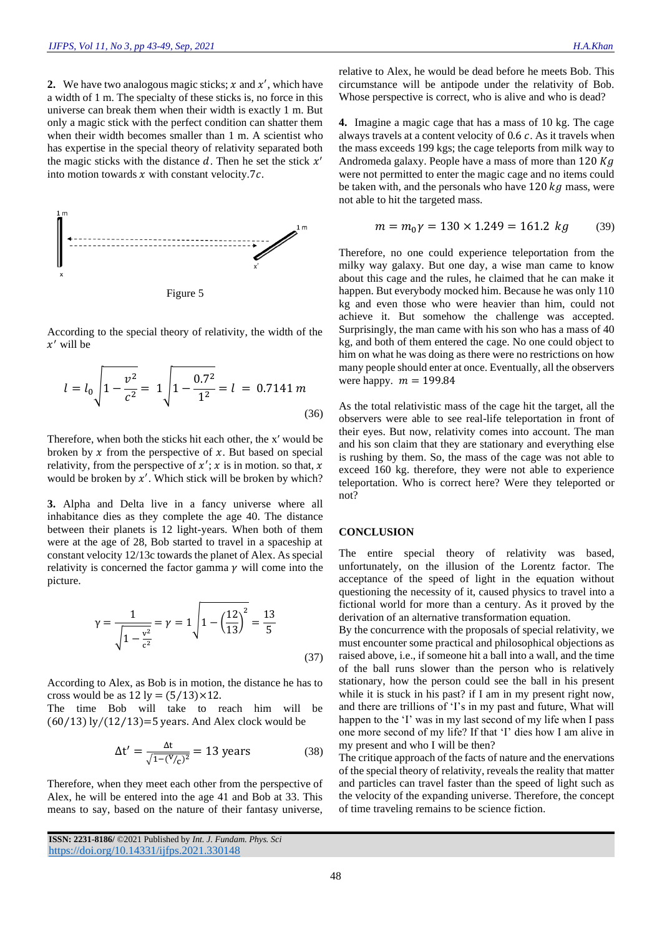**2.** We have two analogous magic sticks;  $x$  and  $x'$ , which have a width of 1 m. The specialty of these sticks is, no force in this universe can break them when their width is exactly 1 m. But only a magic stick with the perfect condition can shatter them when their width becomes smaller than 1 m. A scientist who has expertise in the special theory of relativity separated both the magic sticks with the distance  $d$ . Then he set the stick  $x'$ into motion towards  $x$  with constant velocity.7 $c$ .



According to the special theory of relativity, the width of the  $x'$  will be

$$
l = l_0 \sqrt{1 - \frac{v^2}{c^2}} = 1 \sqrt{1 - \frac{0.7^2}{1^2}} = l = 0.7141 \, m \tag{36}
$$

Therefore, when both the sticks hit each other, the x′ would be broken by  $x$  from the perspective of  $x$ . But based on special relativity, from the perspective of  $x'$ ; x is in motion. so that, x would be broken by  $x'$ . Which stick will be broken by which?

**3.** Alpha and Delta live in a fancy universe where all inhabitance dies as they complete the age 40. The distance between their planets is 12 light-years. When both of them were at the age of 28, Bob started to travel in a spaceship at constant velocity 12/13c towards the planet of Alex. As special relativity is concerned the factor gamma  $\gamma$  will come into the picture.

$$
\gamma = \frac{1}{\sqrt{1 - \frac{v^2}{c^2}}} = \gamma = 1 \sqrt{1 - \left(\frac{12}{13}\right)^2} = \frac{13}{5}
$$
\n(37)

According to Alex, as Bob is in motion, the distance he has to cross would be as  $12 \text{ ly} = (5/13) \times 12$ .

The time Bob will take to reach him will be  $(60/13)$  ly $/(12/13)=5$  years. And Alex clock would be

$$
\Delta t' = \frac{\Delta t}{\sqrt{1 - (V/c)^2}} = 13 \text{ years}
$$
 (38)

Therefore, when they meet each other from the perspective of Alex, he will be entered into the age 41 and Bob at 33. This means to say, based on the nature of their fantasy universe,

**ISSN: 2231-8186/** ©2021 Published by *Int. J. Fundam. Phys. Sci* <https://doi.org/10.14331/ijfps.2021.330148>

relative to Alex, he would be dead before he meets Bob. This circumstance will be antipode under the relativity of Bob. Whose perspective is correct, who is alive and who is dead?

**4.** Imagine a magic cage that has a mass of 10 kg. The cage always travels at a content velocity of  $0.6 c$ . As it travels when the mass exceeds 199 kgs; the cage teleports from milk way to Andromeda galaxy. People have a mass of more than 120  $Kg$ were not permitted to enter the magic cage and no items could be taken with, and the personals who have  $120 kg$  mass, were not able to hit the targeted mass.

$$
m = m_0 \gamma = 130 \times 1.249 = 161.2 \text{ kg} \tag{39}
$$

Therefore, no one could experience teleportation from the milky way galaxy. But one day, a wise man came to know about this cage and the rules, he claimed that he can make it happen. But everybody mocked him. Because he was only 110 kg and even those who were heavier than him, could not achieve it. But somehow the challenge was accepted. Surprisingly, the man came with his son who has a mass of 40 kg, and both of them entered the cage. No one could object to him on what he was doing as there were no restrictions on how many people should enter at once. Eventually, all the observers were happy.  $m = 199.84$ 

As the total relativistic mass of the cage hit the target, all the observers were able to see real-life teleportation in front of their eyes. But now, relativity comes into account. The man and his son claim that they are stationary and everything else is rushing by them. So, the mass of the cage was not able to exceed 160 kg. therefore, they were not able to experience teleportation. Who is correct here? Were they teleported or not?

#### **CONCLUSION**

The entire special theory of relativity was based, unfortunately, on the illusion of the Lorentz factor. The acceptance of the speed of light in the equation without questioning the necessity of it, caused physics to travel into a fictional world for more than a century. As it proved by the derivation of an alternative transformation equation.

By the concurrence with the proposals of special relativity, we must encounter some practical and philosophical objections as raised above, i.e., if someone hit a ball into a wall, and the time of the ball runs slower than the person who is relatively stationary, how the person could see the ball in his present while it is stuck in his past? if I am in my present right now, and there are trillions of 'I's in my past and future, What will happen to the 'I' was in my last second of my life when I pass one more second of my life? If that 'I' dies how I am alive in my present and who I will be then?

The critique approach of the facts of nature and the enervations of the special theory of relativity, reveals the reality that matter and particles can travel faster than the speed of light such as the velocity of the expanding universe. Therefore, the concept of time traveling remains to be science fiction.